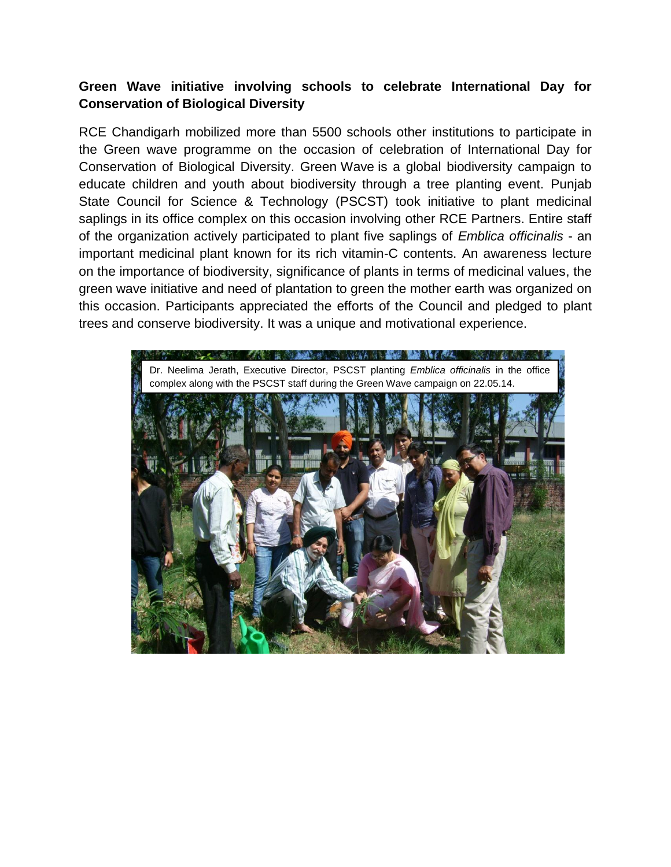## **Green Wave initiative involving schools to celebrate International Day for Conservation of Biological Diversity**

RCE Chandigarh mobilized more than 5500 schools other institutions to participate in the Green wave programme on the occasion of celebration of International Day for Conservation of Biological Diversity. Green Wave is a global biodiversity campaign to educate children and youth about biodiversity through a tree planting event. Punjab State Council for Science & Technology (PSCST) took initiative to plant medicinal saplings in its office complex on this occasion involving other RCE Partners. Entire staff of the organization actively participated to plant five saplings of *Emblica officinalis* - an important medicinal plant known for its rich vitamin-C contents. An awareness lecture on the importance of biodiversity, significance of plants in terms of medicinal values, the green wave initiative and need of plantation to green the mother earth was organized on this occasion. Participants appreciated the efforts of the Council and pledged to plant trees and conserve biodiversity. It was a unique and motivational experience.